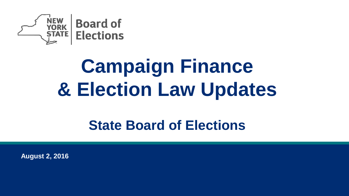

# **Campaign Finance & Election Law Updates**

### **State Board of Elections**

**August 2, 2016**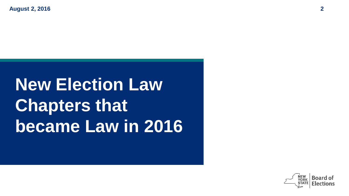**August 2, 2016 2**

## **New Election Law Chapters that became Law in 2016**

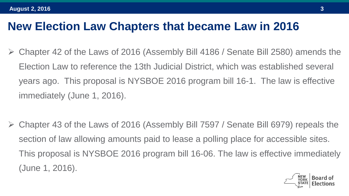#### **New Election Law Chapters that became Law in 2016**

- Chapter 42 of the Laws of 2016 (Assembly Bill 4186 / Senate Bill 2580) amends the Election Law to reference the 13th Judicial District, which was established several years ago. This proposal is NYSBOE 2016 program bill 16-1. The law is effective immediately (June 1, 2016).
- Chapter 43 of the Laws of 2016 (Assembly Bill 7597 / Senate Bill 6979) repeals the section of law allowing amounts paid to lease a polling place for accessible sites. This proposal is NYSBOE 2016 program bill 16-06. The law is effective immediately (June 1, 2016).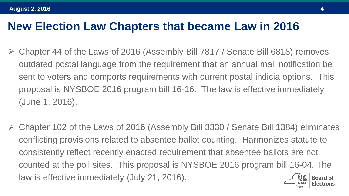#### **New Election Law Chapters that became Law in 2016**

- Chapter 44 of the Laws of 2016 (Assembly Bill 7817 / Senate Bill 6818) removes outdated postal language from the requirement that an annual mail notification be sent to voters and comports requirements with current postal indicia options. This proposal is NYSBOE 2016 program bill 16-16. The law is effective immediately (June 1, 2016).
- Chapter 102 of the Laws of 2016 (Assembly Bill 3330 / Senate Bill 1384) eliminates conflicting provisions related to absentee ballot counting. Harmonizes statute to consistently reflect recently enacted requirement that absentee ballots are not counted at the poll sites. This proposal is NYSBOE 2016 program bill 16-04. The law is effective immediately (July 21, 2016).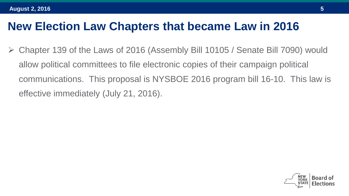#### **New Election Law Chapters that became Law in 2016**

 Chapter 139 of the Laws of 2016 (Assembly Bill 10105 / Senate Bill 7090) would allow political committees to file electronic copies of their campaign political communications. This proposal is NYSBOE 2016 program bill 16-10. This law is effective immediately (July 21, 2016).

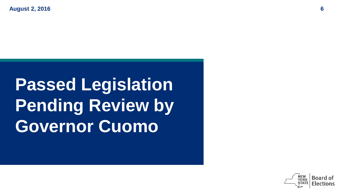**August 2, 2016 6**

## **Passed Legislation Pending Review by Governor Cuomo**

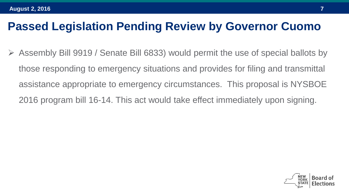#### **Passed Legislation Pending Review by Governor Cuomo**

 Assembly Bill 9919 / Senate Bill 6833) would permit the use of special ballots by those responding to emergency situations and provides for filing and transmittal assistance appropriate to emergency circumstances. This proposal is NYSBOE 2016 program bill 16-14. This act would take effect immediately upon signing.

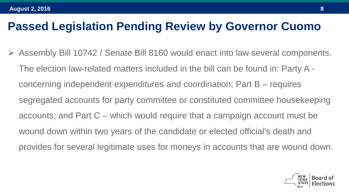#### **Passed Legislation Pending Review by Governor Cuomo**

 Assembly Bill 10742 / Senate Bill 8160 would enact into law several components. The election law-related matters included in the bill can be found in: Party A concerning independent expenditures and coordination; Part B – requires segregated accounts for party committee or constituted committee housekeeping accounts; and Part C – which would require that a campaign account must be wound down within two years of the candidate or elected official's death and provides for several legitimate uses for moneys in accounts that are wound down.